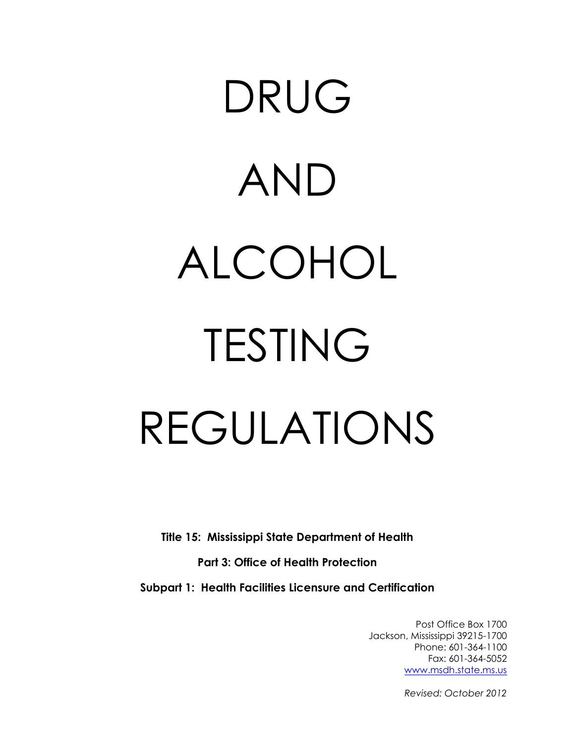# DRUG AND ALCOHOL TESTING REGULATIONS

**Title 15: Mississippi State Department of Health**

**Part 3: Office of Health Protection** 

**Subpart 1: Health Facilities Licensure and Certification**

Post Office Box 1700 Jackson, Mississippi 39215-1700 Phone: 601-364-1100 Fax: 601-364-5052 www.msdh.state.ms.us

*Revised: October 2012*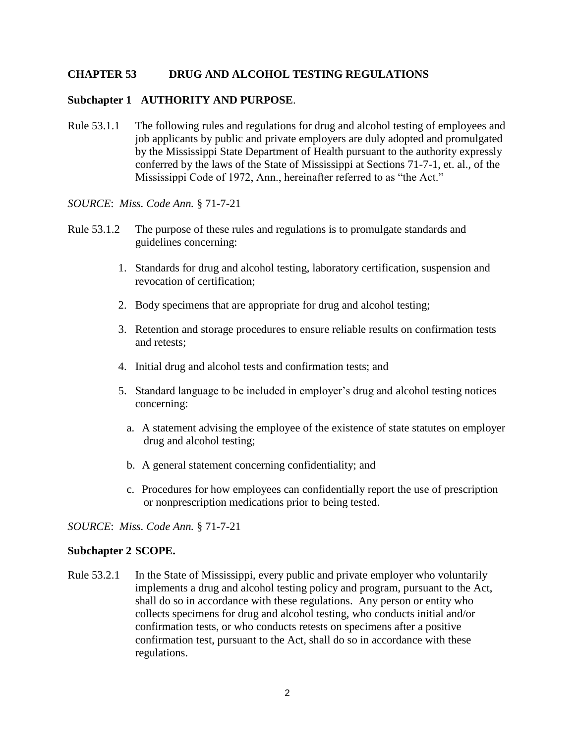# **CHAPTER 53 DRUG AND ALCOHOL TESTING REGULATIONS**

# **Subchapter 1 AUTHORITY AND PURPOSE**.

Rule 53.1.1 The following rules and regulations for drug and alcohol testing of employees and job applicants by public and private employers are duly adopted and promulgated by the Mississippi State Department of Health pursuant to the authority expressly conferred by the laws of the State of Mississippi at Sections 71-7-1, et. al., of the Mississippi Code of 1972, Ann., hereinafter referred to as "the Act."

### *SOURCE*: *Miss. Code Ann.* § 71-7-21

- Rule 53.1.2 The purpose of these rules and regulations is to promulgate standards and guidelines concerning:
	- 1. Standards for drug and alcohol testing, laboratory certification, suspension and revocation of certification;
	- 2. Body specimens that are appropriate for drug and alcohol testing;
	- 3. Retention and storage procedures to ensure reliable results on confirmation tests and retests;
	- 4. Initial drug and alcohol tests and confirmation tests; and
	- 5. Standard language to be included in employer's drug and alcohol testing notices concerning:
		- a. A statement advising the employee of the existence of state statutes on employer drug and alcohol testing;
		- b. A general statement concerning confidentiality; and
		- c. Procedures for how employees can confidentially report the use of prescription or nonprescription medications prior to being tested.

### *SOURCE*: *Miss. Code Ann.* § 71-7-21

# **Subchapter 2 SCOPE.**

Rule 53.2.1 In the State of Mississippi, every public and private employer who voluntarily implements a drug and alcohol testing policy and program, pursuant to the Act, shall do so in accordance with these regulations. Any person or entity who collects specimens for drug and alcohol testing, who conducts initial and/or confirmation tests, or who conducts retests on specimens after a positive confirmation test, pursuant to the Act, shall do so in accordance with these regulations.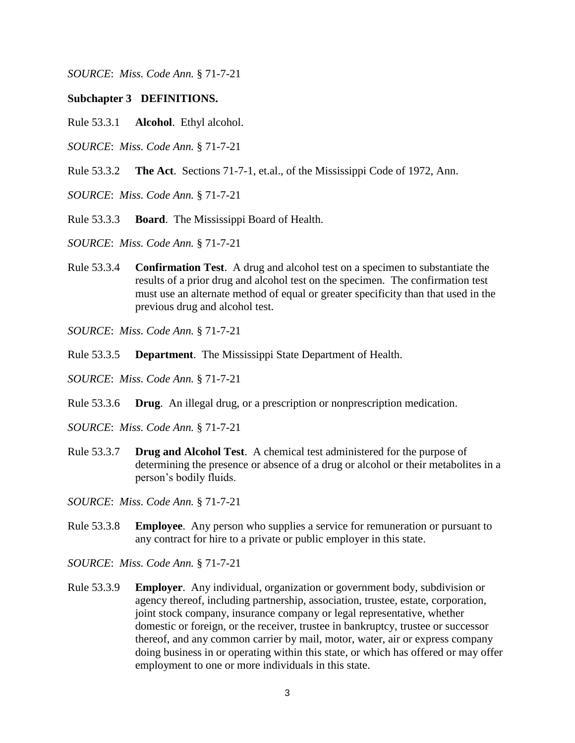*SOURCE*: *Miss. Code Ann.* § 71-7-21

# **Subchapter 3 DEFINITIONS.**

- Rule 53.3.1 **Alcohol**. Ethyl alcohol.
- *SOURCE*: *Miss. Code Ann.* § 71-7-21
- Rule 53.3.2 **The Act**. Sections 71-7-1, et.al., of the Mississippi Code of 1972, Ann.
- *SOURCE*: *Miss. Code Ann.* § 71-7-21
- Rule 53.3.3 **Board**. The Mississippi Board of Health.
- *SOURCE*: *Miss. Code Ann.* § 71-7-21
- Rule 53.3.4 **Confirmation Test**. A drug and alcohol test on a specimen to substantiate the results of a prior drug and alcohol test on the specimen. The confirmation test must use an alternate method of equal or greater specificity than that used in the previous drug and alcohol test.
- *SOURCE*: *Miss. Code Ann.* § 71-7-21
- Rule 53.3.5 **Department**. The Mississippi State Department of Health.
- *SOURCE*: *Miss. Code Ann.* § 71-7-21
- Rule 53.3.6 **Drug**. An illegal drug, or a prescription or nonprescription medication.
- *SOURCE*: *Miss. Code Ann.* § 71-7-21
- Rule 53.3.7 **Drug and Alcohol Test**. A chemical test administered for the purpose of determining the presence or absence of a drug or alcohol or their metabolites in a person's bodily fluids.
- *SOURCE*: *Miss. Code Ann.* § 71-7-21
- Rule 53.3.8 **Employee**. Any person who supplies a service for remuneration or pursuant to any contract for hire to a private or public employer in this state.
- *SOURCE*: *Miss. Code Ann.* § 71-7-21
- Rule 53.3.9 **Employer**. Any individual, organization or government body, subdivision or agency thereof, including partnership, association, trustee, estate, corporation, joint stock company, insurance company or legal representative, whether domestic or foreign, or the receiver, trustee in bankruptcy, trustee or successor thereof, and any common carrier by mail, motor, water, air or express company doing business in or operating within this state, or which has offered or may offer employment to one or more individuals in this state.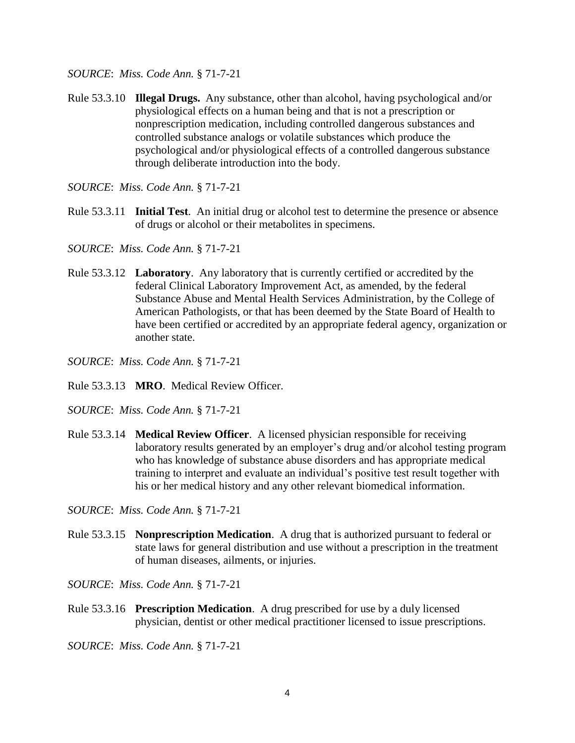*SOURCE*: *Miss. Code Ann.* § 71-7-21

Rule 53.3.10 **Illegal Drugs.** Any substance, other than alcohol, having psychological and/or physiological effects on a human being and that is not a prescription or nonprescription medication, including controlled dangerous substances and controlled substance analogs or volatile substances which produce the psychological and/or physiological effects of a controlled dangerous substance through deliberate introduction into the body.

*SOURCE*: *Miss. Code Ann.* § 71-7-21

Rule 53.3.11 **Initial Test**. An initial drug or alcohol test to determine the presence or absence of drugs or alcohol or their metabolites in specimens.

*SOURCE*: *Miss. Code Ann.* § 71-7-21

- Rule 53.3.12 **Laboratory**. Any laboratory that is currently certified or accredited by the federal Clinical Laboratory Improvement Act, as amended, by the federal Substance Abuse and Mental Health Services Administration, by the College of American Pathologists, or that has been deemed by the State Board of Health to have been certified or accredited by an appropriate federal agency, organization or another state.
- *SOURCE*: *Miss. Code Ann.* § 71-7-21
- Rule 53.3.13 **MRO**. Medical Review Officer.
- *SOURCE*: *Miss. Code Ann.* § 71-7-21
- Rule 53.3.14 **Medical Review Officer**. A licensed physician responsible for receiving laboratory results generated by an employer's drug and/or alcohol testing program who has knowledge of substance abuse disorders and has appropriate medical training to interpret and evaluate an individual's positive test result together with his or her medical history and any other relevant biomedical information.

*SOURCE*: *Miss. Code Ann.* § 71-7-21

Rule 53.3.15 **Nonprescription Medication**. A drug that is authorized pursuant to federal or state laws for general distribution and use without a prescription in the treatment of human diseases, ailments, or injuries.

*SOURCE*: *Miss. Code Ann.* § 71-7-21

Rule 53.3.16 **Prescription Medication**. A drug prescribed for use by a duly licensed physician, dentist or other medical practitioner licensed to issue prescriptions.

*SOURCE*: *Miss. Code Ann.* § 71-7-21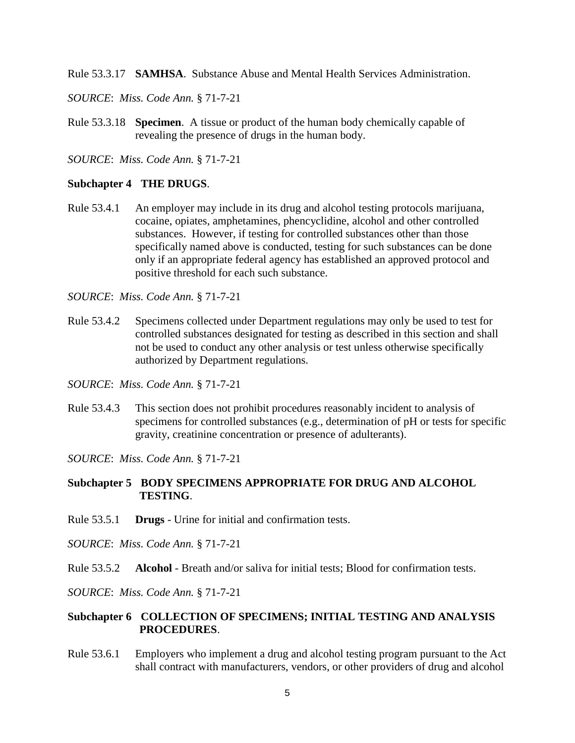Rule 53.3.17 **SAMHSA**. Substance Abuse and Mental Health Services Administration.

*SOURCE*: *Miss. Code Ann.* § 71-7-21

Rule 53.3.18 **Specimen**. A tissue or product of the human body chemically capable of revealing the presence of drugs in the human body.

*SOURCE*: *Miss. Code Ann.* § 71-7-21

### **Subchapter 4 THE DRUGS**.

Rule 53.4.1 An employer may include in its drug and alcohol testing protocols marijuana, cocaine, opiates, amphetamines, phencyclidine, alcohol and other controlled substances. However, if testing for controlled substances other than those specifically named above is conducted, testing for such substances can be done only if an appropriate federal agency has established an approved protocol and positive threshold for each such substance.

*SOURCE*: *Miss. Code Ann.* § 71-7-21

- Rule 53.4.2 Specimens collected under Department regulations may only be used to test for controlled substances designated for testing as described in this section and shall not be used to conduct any other analysis or test unless otherwise specifically authorized by Department regulations.
- *SOURCE*: *Miss. Code Ann.* § 71-7-21
- Rule 53.4.3 This section does not prohibit procedures reasonably incident to analysis of specimens for controlled substances (e.g., determination of pH or tests for specific gravity, creatinine concentration or presence of adulterants).

*SOURCE*: *Miss. Code Ann.* § 71-7-21

# **Subchapter 5 BODY SPECIMENS APPROPRIATE FOR DRUG AND ALCOHOL TESTING**.

Rule 53.5.1 **Drugs** - Urine for initial and confirmation tests.

*SOURCE*: *Miss. Code Ann.* § 71-7-21

Rule 53.5.2 **Alcohol** - Breath and/or saliva for initial tests; Blood for confirmation tests.

*SOURCE*: *Miss. Code Ann.* § 71-7-21

# **Subchapter 6 COLLECTION OF SPECIMENS; INITIAL TESTING AND ANALYSIS PROCEDURES**.

Rule 53.6.1 Employers who implement a drug and alcohol testing program pursuant to the Act shall contract with manufacturers, vendors, or other providers of drug and alcohol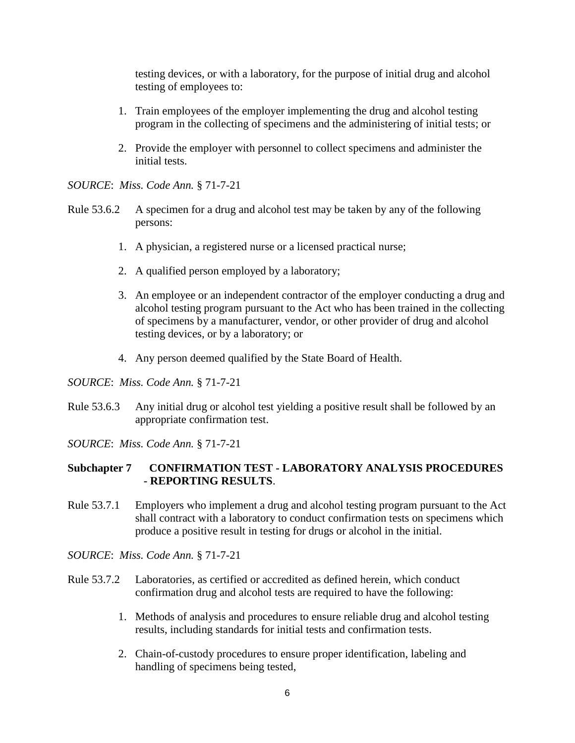testing devices, or with a laboratory, for the purpose of initial drug and alcohol testing of employees to:

- 1. Train employees of the employer implementing the drug and alcohol testing program in the collecting of specimens and the administering of initial tests; or
- 2. Provide the employer with personnel to collect specimens and administer the initial tests.

*SOURCE*: *Miss. Code Ann.* § 71-7-21

- Rule 53.6.2 A specimen for a drug and alcohol test may be taken by any of the following persons:
	- 1. A physician, a registered nurse or a licensed practical nurse;
	- 2. A qualified person employed by a laboratory;
	- 3. An employee or an independent contractor of the employer conducting a drug and alcohol testing program pursuant to the Act who has been trained in the collecting of specimens by a manufacturer, vendor, or other provider of drug and alcohol testing devices, or by a laboratory; or
	- 4. Any person deemed qualified by the State Board of Health.

*SOURCE*: *Miss. Code Ann.* § 71-7-21

- Rule 53.6.3 Any initial drug or alcohol test yielding a positive result shall be followed by an appropriate confirmation test.
- *SOURCE*: *Miss. Code Ann.* § 71-7-21

# **Subchapter 7 CONFIRMATION TEST - LABORATORY ANALYSIS PROCEDURES - REPORTING RESULTS**.

- Rule 53.7.1 Employers who implement a drug and alcohol testing program pursuant to the Act shall contract with a laboratory to conduct confirmation tests on specimens which produce a positive result in testing for drugs or alcohol in the initial.
- *SOURCE*: *Miss. Code Ann.* § 71-7-21
- Rule 53.7.2 Laboratories, as certified or accredited as defined herein, which conduct confirmation drug and alcohol tests are required to have the following:
	- 1. Methods of analysis and procedures to ensure reliable drug and alcohol testing results, including standards for initial tests and confirmation tests.
	- 2. Chain-of-custody procedures to ensure proper identification, labeling and handling of specimens being tested,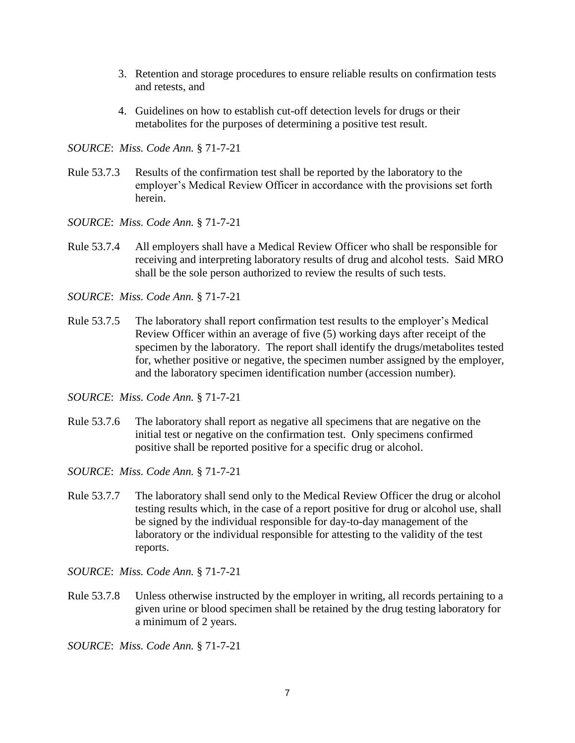- 3. Retention and storage procedures to ensure reliable results on confirmation tests and retests, and
- 4. Guidelines on how to establish cut-off detection levels for drugs or their metabolites for the purposes of determining a positive test result.

*SOURCE*: *Miss. Code Ann.* § 71-7-21

- Rule 53.7.3 Results of the confirmation test shall be reported by the laboratory to the employer's Medical Review Officer in accordance with the provisions set forth herein.
- *SOURCE*: *Miss. Code Ann.* § 71-7-21
- Rule 53.7.4 All employers shall have a Medical Review Officer who shall be responsible for receiving and interpreting laboratory results of drug and alcohol tests. Said MRO shall be the sole person authorized to review the results of such tests.

*SOURCE*: *Miss. Code Ann.* § 71-7-21

- Rule 53.7.5 The laboratory shall report confirmation test results to the employer's Medical Review Officer within an average of five (5) working days after receipt of the specimen by the laboratory. The report shall identify the drugs/metabolites tested for, whether positive or negative, the specimen number assigned by the employer, and the laboratory specimen identification number (accession number).
- *SOURCE*: *Miss. Code Ann.* § 71-7-21
- Rule 53.7.6 The laboratory shall report as negative all specimens that are negative on the initial test or negative on the confirmation test. Only specimens confirmed positive shall be reported positive for a specific drug or alcohol.
- *SOURCE*: *Miss. Code Ann.* § 71-7-21
- Rule 53.7.7 The laboratory shall send only to the Medical Review Officer the drug or alcohol testing results which, in the case of a report positive for drug or alcohol use, shall be signed by the individual responsible for day-to-day management of the laboratory or the individual responsible for attesting to the validity of the test reports.
- *SOURCE*: *Miss. Code Ann.* § 71-7-21
- Rule 53.7.8 Unless otherwise instructed by the employer in writing, all records pertaining to a given urine or blood specimen shall be retained by the drug testing laboratory for a minimum of 2 years.

*SOURCE*: *Miss. Code Ann.* § 71-7-21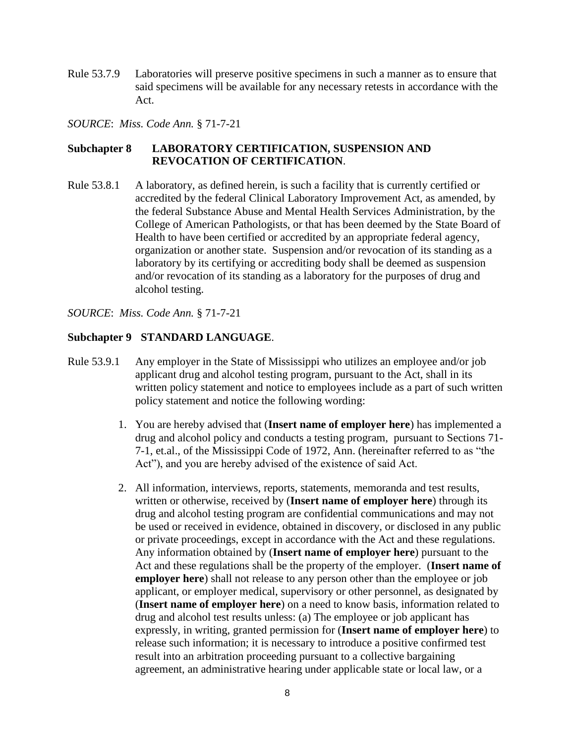Rule 53.7.9 Laboratories will preserve positive specimens in such a manner as to ensure that said specimens will be available for any necessary retests in accordance with the Act.

*SOURCE*: *Miss. Code Ann.* § 71-7-21

# **Subchapter 8 LABORATORY CERTIFICATION, SUSPENSION AND REVOCATION OF CERTIFICATION**.

Rule 53.8.1 A laboratory, as defined herein, is such a facility that is currently certified or accredited by the federal Clinical Laboratory Improvement Act, as amended, by the federal Substance Abuse and Mental Health Services Administration, by the College of American Pathologists, or that has been deemed by the State Board of Health to have been certified or accredited by an appropriate federal agency, organization or another state. Suspension and/or revocation of its standing as a laboratory by its certifying or accrediting body shall be deemed as suspension and/or revocation of its standing as a laboratory for the purposes of drug and alcohol testing.

*SOURCE*: *Miss. Code Ann.* § 71-7-21

# **Subchapter 9 STANDARD LANGUAGE**.

- Rule 53.9.1 Any employer in the State of Mississippi who utilizes an employee and/or job applicant drug and alcohol testing program, pursuant to the Act, shall in its written policy statement and notice to employees include as a part of such written policy statement and notice the following wording:
	- 1. You are hereby advised that (**Insert name of employer here**) has implemented a drug and alcohol policy and conducts a testing program, pursuant to Sections 71- 7-1, et.al., of the Mississippi Code of 1972, Ann. (hereinafter referred to as "the Act"), and you are hereby advised of the existence of said Act.
	- 2. All information, interviews, reports, statements, memoranda and test results, written or otherwise, received by (**Insert name of employer here**) through its drug and alcohol testing program are confidential communications and may not be used or received in evidence, obtained in discovery, or disclosed in any public or private proceedings, except in accordance with the Act and these regulations. Any information obtained by (**Insert name of employer here**) pursuant to the Act and these regulations shall be the property of the employer. (**Insert name of employer here**) shall not release to any person other than the employee or job applicant, or employer medical, supervisory or other personnel, as designated by (**Insert name of employer here**) on a need to know basis, information related to drug and alcohol test results unless: (a) The employee or job applicant has expressly, in writing, granted permission for (**Insert name of employer here**) to release such information; it is necessary to introduce a positive confirmed test result into an arbitration proceeding pursuant to a collective bargaining agreement, an administrative hearing under applicable state or local law, or a